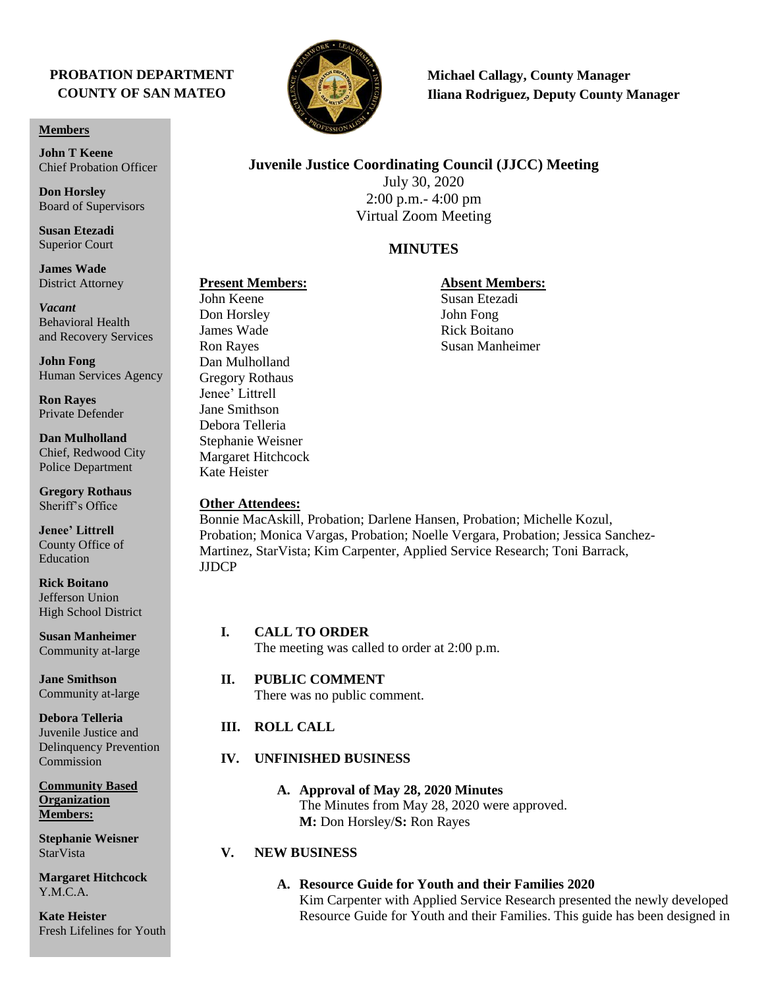# **PROBATION DEPARTMENT COUNTY OF SAN MATEO**

#### **Members**

**John T Keene** Chief Probation Officer

**Don Horsley** Board of Supervisors

**Susan Etezadi** Superior Court

**James Wade** District Attorney

*Vacant* Behavioral Health and Recovery Services

**John Fong** Human Services Agency

**Ron Rayes** Private Defender

**Dan Mulholland** Chief, Redwood City Police Department

**Gregory Rothaus** Sheriff's Office

**Jenee' Littrell** County Office of Education

**Rick Boitano** Jefferson Union High School District

**Susan Manheimer**  Community at-large

**Jane Smithson** Community at-large

**Debora Telleria** Juvenile Justice and Delinquency Prevention Commission

**Community Based Organization Members:** 

**Stephanie Weisner StarVista** 

**Margaret Hitchcock** Y.M.C.A.

**Kate Heister** Fresh Lifelines for Youth



**Michael Callagy, County Manager Iliana Rodriguez, Deputy County Manager**

# **Juvenile Justice Coordinating Council (JJCC) Meeting**

July 30, 2020 2:00 p.m.- 4:00 pm Virtual Zoom Meeting

# **MINUTES**

Don Horsley John Fong James Wade Rick Boitano Dan Mulholland Gregory Rothaus Jenee' Littrell Jane Smithson Debora Telleria Stephanie Weisner Margaret Hitchcock Kate Heister

### **Other Attendees:**

Bonnie MacAskill, Probation; Darlene Hansen, Probation; Michelle Kozul, Probation; Monica Vargas, Probation; Noelle Vergara, Probation; Jessica Sanchez-Martinez, StarVista; Kim Carpenter, Applied Service Research; Toni Barrack, JJDCP

### **I. CALL TO ORDER**

The meeting was called to order at 2:00 p.m.

#### **II. PUBLIC COMMENT**

There was no public comment.

# **III. ROLL CALL**

# **IV. UNFINISHED BUSINESS**

**A. Approval of May 28, 2020 Minutes** The Minutes from May 28, 2020 were approved. **M:** Don Horsley/**S:** Ron Rayes

### **V. NEW BUSINESS**

**A. Resource Guide for Youth and their Families 2020** Kim Carpenter with Applied Service Research presented the newly developed Resource Guide for Youth and their Families. This guide has been designed in

# **Present Members:**<br> **Absent Members:**<br> **Absent Members:**<br> **Absent Members:**<br> **Susan Etezadi**

Susan Etezadi Ron Rayes Susan Manheimer